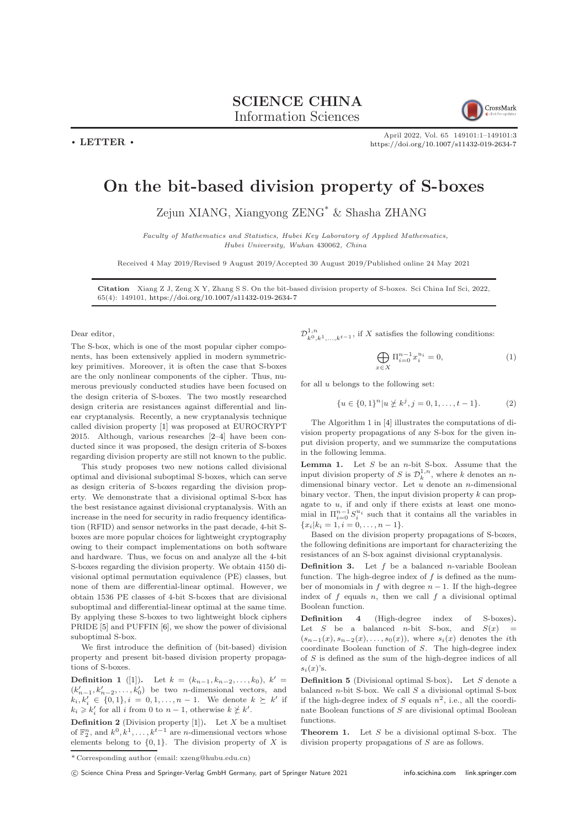## SCIENCE CHINA Information Sciences

 $\cdot$  LETTER  $\cdot$ 



April 2022, Vol. 65 149101:1–149101[:3](#page-2-0) <https://doi.org/10.1007/s11432-019-2634-7>

## On the bit-based division property of S-boxes

Zejun XIANG, Xiangyong ZENG\* & Shasha ZHANG

Faculty of Mathematics and Statistics, Hubei Key Laboratory of Applied Mathematics, Hubei University, Wuhan 430062, China

Received 4 May 2019/Revised 9 August 2019/Accepted 30 August 2019/Published online 24 May 2021

Citation Xiang Z J, Zeng X Y, Zhang S S. On the bit-based division property of S-boxes. Sci China Inf Sci, 2022, 65(4): 149101, <https://doi.org/10.1007/s11432-019-2634-7>

Dear editor,

The S-box, which is one of the most popular cipher components, has been extensively applied in modern symmetrickey primitives. Moreover, it is often the case that S-boxes are the only nonlinear components of the cipher. Thus, numerous previously conducted studies have been focused on the design criteria of S-boxes. The two mostly researched design criteria are resistances against differential and linear cryptanalysis. Recently, a new cryptanalysis technique called division property [\[1\]](#page-2-1) was proposed at EUROCRYPT 2015. Although, various researches [\[2–](#page-2-2)[4\]](#page-2-3) have been conducted since it was proposed, the design criteria of S-boxes regarding division property are still not known to the public.

This study proposes two new notions called divisional optimal and divisional suboptimal S-boxes, which can serve as design criteria of S-boxes regarding the division property. We demonstrate that a divisional optimal S-box has the best resistance against divisional cryptanalysis. With an increase in the need for security in radio frequency identification (RFID) and sensor networks in the past decade, 4-bit Sboxes are more popular choices for lightweight cryptography owing to their compact implementations on both software and hardware. Thus, we focus on and analyze all the 4-bit S-boxes regarding the division property. We obtain 4150 divisional optimal permutation equivalence (PE) classes, but none of them are differential-linear optimal. However, we obtain 1536 PE classes of 4-bit S-boxes that are divisional suboptimal and differential-linear optimal at the same time. By applying these S-boxes to two lightweight block ciphers PRIDE [\[5\]](#page-2-4) and PUFFIN [\[6\]](#page-2-5), we show the power of divisional suboptimal S-box.

We first introduce the definition of (bit-based) division property and present bit-based division property propagations of S-boxes.

**Definition 1** ([\[1\]](#page-2-1)). Let  $k = (k_{n-1}, k_{n-2}, \ldots, k_0), k' =$  $(k'_{n-1}, k'_{n-2}, \ldots, k'_{0})$  be two *n*-dimensional vectors, and  $k_i, k'_i \in \{0, 1\}, i = 0, 1, \dots, n - 1$ . We denote  $k \geq k'$  if  $k_i \geqslant k'_i$  for all i from 0 to  $n-1$ , otherwise  $k \not\geq k'$ .

**Definition 2** (Division property [\[1\]](#page-2-1)). Let  $X$  be a multiset of  $\mathbb{F}_2^n$ , and  $k^0, k^1, \ldots, k^{t-1}$  are *n*-dimensional vectors whose elements belong to  $\{0, 1\}$ . The division property of X is  $\mathcal{D}_{k^0, k^1, \ldots, k^{t-1}}^{1,n}$  , if  $X$  satisfies the following conditions:

$$
\bigoplus_{x \in X} \Pi_{i=0}^{n-1} x_i^{u_i} = 0,\tag{1}
$$

for all  $u$  belongs to the following set:

$$
\{u \in \{0,1\}^n | u \not\ge k^j, j = 0,1,\ldots,t-1\}.
$$
 (2)

The Algorithm 1 in [\[4\]](#page-2-3) illustrates the computations of division property propagations of any S-box for the given input division property, and we summarize the computations in the following lemma.

**Lemma 1.** Let  $S$  be an  $n$ -bit S-box. Assume that the input division property of S is  $\mathcal{D}_k^{1,n}$ , where k denotes an ndimensional binary vector. Let  $u$  denote an  $n$ -dimensional binary vector. Then, the input division property  $k$  can propagate to  $u$ , if and only if there exists at least one monomial in  $\Pi_{i=0}^{n-1} S_i^{u_i}$  such that it contains all the variables in  ${x_i|k_i = 1, i = 0, \ldots, n-1}.$ 

Based on the division property propagations of S-boxes, the following definitions are important for characterizing the resistances of an S-box against divisional cryptanalysis.

**Definition 3.** Let f be a balanced *n*-variable Boolean function. The high-degree index of  $f$  is defined as the number of monomials in  $f$  with degree  $n-1$ . If the high-degree index of  $f$  equals  $n$ , then we call  $f$  a divisional optimal Boolean function.

Definition 4 (High-degree index of S-boxes). Let S be a balanced *n*-bit S-box, and  $S(x)$  $(s_{n-1}(x), s_{n-2}(x), \ldots, s_0(x)),$  where  $s_i(x)$  denotes the *i*th coordinate Boolean function of S. The high-degree index of S is defined as the sum of the high-degree indices of all  $s_i(x)$ 's.

**Definition 5** (Divisional optimal S-box). Let  $S$  denote a balanced  $n$ -bit S-box. We call  $S$  a divisional optimal S-box if the high-degree index of S equals  $n^2$ , i.e., all the coordinate Boolean functions of S are divisional optimal Boolean functions.

**Theorem 1.** Let  $S$  be a divisional optimal S-box. The division property propagations of S are as follows.

<sup>\*</sup> Corresponding author (email: xzeng@hubu.edu.cn)

<sup>(</sup>C) Science China Press and Springer-Verlag GmbH Germany, part of Springer Nature 2021 <info.scichina.com><link.springer.com>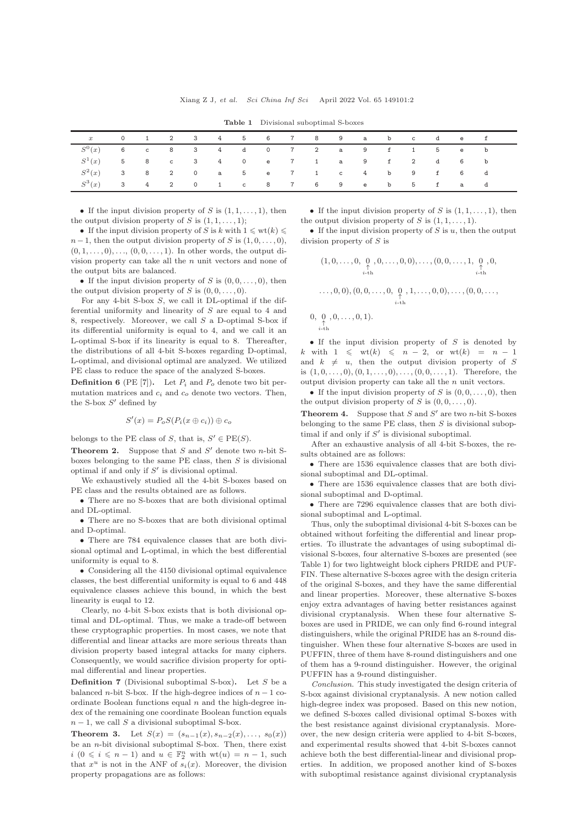<span id="page-1-0"></span>

| $\boldsymbol{x}$ |  |  |  |  |  | 0 1 2 3 4 5 6 7 8 9 a b c d e f |  |  |
|------------------|--|--|--|--|--|---------------------------------|--|--|
| $S^0(x)$         |  |  |  |  |  |                                 |  |  |
| $S^1(x)$         |  |  |  |  |  | 5 8 c 3 4 0 e 7 1 a 9 f 2 d 6 b |  |  |
| $S^2(x)$         |  |  |  |  |  | 3 8 2 0 a 5 e 7 1 c 4 b 9 f 6 d |  |  |
| $S^3(x)$         |  |  |  |  |  | 34201c8769eb5fad                |  |  |

Table 1 Divisional suboptimal S-boxes

• If the input division property of S is  $(1, 1, \ldots, 1)$ , then the output division property of S is  $(1, 1, \ldots, 1);$ 

• If the input division property of S is k with  $1 \leqslant \text{wt}(k) \leqslant$  $n-1$ , then the output division property of S is  $(1,0,\ldots,0)$ ,  $(0, 1, \ldots, 0), \ldots, (0, 0, \ldots, 1)$ . In other words, the output division property can take all the n unit vectors and none of the output bits are balanced.

• If the input division property of S is  $(0, 0, \ldots, 0)$ , then the output division property of S is  $(0, 0, \ldots, 0)$ .

For any 4-bit S-box  $S$ , we call it DL-optimal if the differential uniformity and linearity of S are equal to 4 and 8, respectively. Moreover, we call S a D-optimal S-box if its differential uniformity is equal to 4, and we call it an L-optimal S-box if its linearity is equal to 8. Thereafter, the distributions of all 4-bit S-boxes regarding D-optimal, L-optimal, and divisional optimal are analyzed. We utilized PE class to reduce the space of the analyzed S-boxes.

**Definition 6** (PE [\[7\]](#page-2-6)). Let  $P_i$  and  $P_o$  denote two bit permutation matrices and  $c_i$  and  $c_o$  denote two vectors. Then, the S-box  $S'$  defined by

$$
S'(x) = P_o S(P_i(x \oplus c_i)) \oplus c_o
$$

belongs to the PE class of S, that is,  $S' \in PE(S)$ .

**Theorem 2.** Suppose that  $S$  and  $S'$  denote two *n*-bit Sboxes belonging to the same PE class, then  $S$  is divisional optimal if and only if  $S'$  is divisional optimal.

We exhaustively studied all the 4-bit S-boxes based on PE class and the results obtained are as follows.

• There are no S-boxes that are both divisional optimal and DL-optimal.

• There are no S-boxes that are both divisional optimal and D-optimal.

• There are 784 equivalence classes that are both divisional optimal and L-optimal, in which the best differential uniformity is equal to 8.

• Considering all the 4150 divisional optimal equivalence classes, the best differential uniformity is equal to 6 and 448 equivalence classes achieve this bound, in which the best linearity is euqal to 12.

Clearly, no 4-bit S-box exists that is both divisional optimal and DL-optimal. Thus, we make a trade-off between these cryptographic properties. In most cases, we note that differential and linear attacks are more serious threats than division property based integral attacks for many ciphers. Consequently, we would sacrifice division property for optimal differential and linear properties.

**Definition 7** (Divisional suboptimal S-box). Let S be a balanced *n*-bit S-box. If the high-degree indices of  $n - 1$  coordinate Boolean functions equal  $n$  and the high-degree index of the remaining one coordinate Boolean function equals  $n-1$ , we call S a divisional suboptimal S-box.

Theorem 3. Let  $S(x) = (s_{n-1}(x), s_{n-2}(x), \ldots, s_0(x))$ be an  $n$ -bit divisional suboptimal S-box. Then, there exist  $i \ (0 \leq i \leq n-1)$  and  $u \in \mathbb{F}_2^n$  with  $wt(u) = n-1$ , such that  $x^u$  is not in the ANF of  $s_i(x)$ . Moreover, the division property propagations are as follows:

• If the input division property of S is  $(1, 1, \ldots, 1)$ , then the output division property of S is  $(1, 1, \ldots, 1)$ .

• If the input division property of  $S$  is  $u$ , then the output division property of S is

$$
(1, 0, \ldots, 0, \underbrace{0}_{i \text{-th}}, 0, \ldots, 0, 0), \ldots, (0, 0, \ldots, 1, \underbrace{0}_{i \text{-th}}, 0, \underbrace{0}_{i \text{-th}}, \ldots, 0, 0), (0, 0, \ldots, 0, \underbrace{0}_{n}, 1, \ldots, 0, 0), \ldots, (0, 0, \ldots,
$$

$$
\begin{array}{c}\n0,0,\ldots,0,1).\n\end{array}
$$

$$
i\text{-}\mathrm{th}
$$

 $\overline{0}$ .

• If the input division property of  $S$  is denoted by k with  $1 \leq w(t) \leq n-2$ , or  $wt(k) = n-1$ and  $k \neq u$ , then the output division property of S is  $(1, 0, \ldots, 0), (0, 1, \ldots, 0), \ldots, (0, 0, \ldots, 1)$ . Therefore, the output division property can take all the  $n$  unit vectors.

• If the input division property of S is  $(0, 0, \ldots, 0)$ , then the output division property of S is  $(0, 0, \ldots, 0)$ .

**Theorem 4.** Suppose that  $S$  and  $S'$  are two *n*-bit S-boxes belonging to the same PE class, then  $S$  is divisional suboptimal if and only if  $S'$  is divisional suboptimal.

After an exhaustive analysis of all 4-bit S-boxes, the results obtained are as follows:

• There are 1536 equivalence classes that are both divisional suboptimal and DL-optimal.

• There are 1536 equivalence classes that are both divisional suboptimal and D-optimal.

• There are 7296 equivalence classes that are both divisional suboptimal and L-optimal.

Thus, only the suboptimal divisional 4-bit S-boxes can be obtained without forfeiting the differential and linear properties. To illustrate the advantages of using suboptimal divisional S-boxes, four alternative S-boxes are presented (see Table [1\)](#page-1-0) for two lightweight block ciphers PRIDE and PUF-FIN. These alternative S-boxes agree with the design criteria of the original S-boxes, and they have the same differential and linear properties. Moreover, these alternative S-boxes enjoy extra advantages of having better resistances against divisional cryptanalysis. When these four alternative Sboxes are used in PRIDE, we can only find 6-round integral distinguishers, while the original PRIDE has an 8-round distinguisher. When these four alternative S-boxes are used in PUFFIN, three of them have 8-round distinguishers and one of them has a 9-round distinguisher. However, the original PUFFIN has a 9-round distinguisher.

Conclusion. This study investigated the design criteria of S-box against divisional cryptanalysis. A new notion called high-degree index was proposed. Based on this new notion, we defined S-boxes called divisional optimal S-boxes with the best resistance against divisional cryptanalysis. Moreover, the new design criteria were applied to 4-bit S-boxes, and experimental results showed that 4-bit S-boxes cannot achieve both the best differential-linear and divisional properties. In addition, we proposed another kind of S-boxes with suboptimal resistance against divisional cryptanalysis